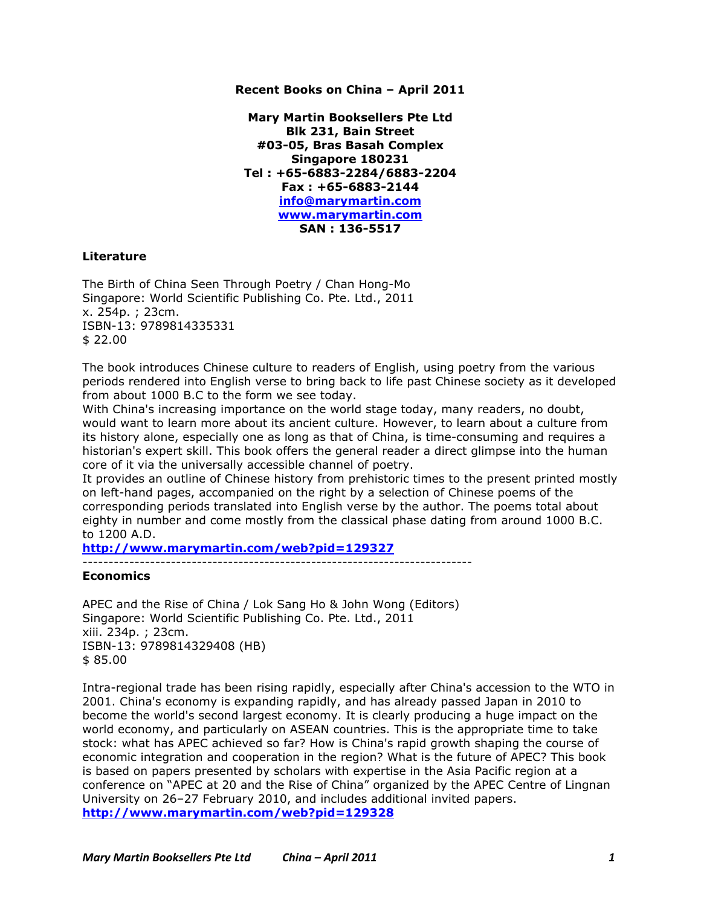## **Recent Books on China – April 2011**

**Mary Martin Booksellers Pte Ltd Blk 231, Bain Street #03-05, Bras Basah Complex Singapore 180231 Tel : +65-6883-2284/6883-2204 Fax : +65-6883-2144 info@marymartin.com www.marymartin.com SAN : 136-5517**

## **Literature**

The Birth of China Seen Through Poetry / Chan Hong-Mo Singapore: World Scientific Publishing Co. Pte. Ltd., 2011 x. 254p. ; 23cm. ISBN-13: 9789814335331 \$ 22.00

The book introduces Chinese culture to readers of English, using poetry from the various periods rendered into English verse to bring back to life past Chinese society as it developed from about 1000 B.C to the form we see today.

With China's increasing importance on the world stage today, many readers, no doubt, would want to learn more about its ancient culture. However, to learn about a culture from its history alone, especially one as long as that of China, is time-consuming and requires a historian's expert skill. This book offers the general reader a direct glimpse into the human core of it via the universally accessible channel of poetry.

It provides an outline of Chinese history from prehistoric times to the present printed mostly on left-hand pages, accompanied on the right by a selection of Chinese poems of the corresponding periods translated into English verse by the author. The poems total about eighty in number and come mostly from the classical phase dating from around 1000 B.C. to 1200 A.D.

**http://www.marymartin.com/web?pid=129327**

---------------------------------------------------------------------------

## **Economics**

APEC and the Rise of China / Lok Sang Ho & John Wong (Editors) Singapore: World Scientific Publishing Co. Pte. Ltd., 2011 xiii. 234p. ; 23cm. ISBN-13: 9789814329408 (HB) \$ 85.00

Intra-regional trade has been rising rapidly, especially after China's accession to the WTO in 2001. China's economy is expanding rapidly, and has already passed Japan in 2010 to become the world's second largest economy. It is clearly producing a huge impact on the world economy, and particularly on ASEAN countries. This is the appropriate time to take stock: what has APEC achieved so far? How is China's rapid growth shaping the course of economic integration and cooperation in the region? What is the future of APEC? This book is based on papers presented by scholars with expertise in the Asia Pacific region at a conference on "APEC at 20 and the Rise of China" organized by the APEC Centre of Lingnan University on 26–27 February 2010, and includes additional invited papers. **http://www.marymartin.com/web?pid=129328**